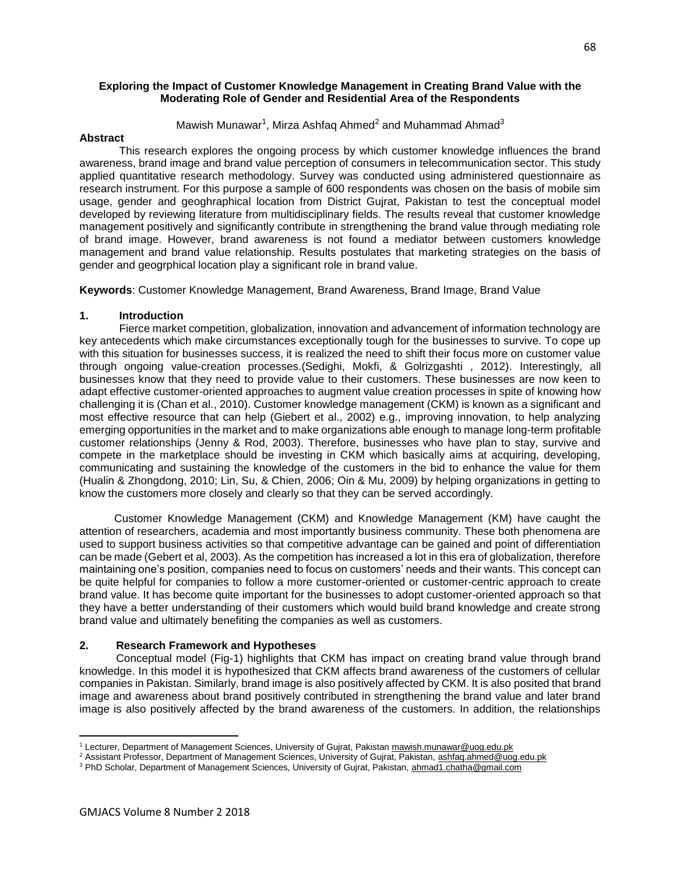#### **Exploring the Impact of Customer Knowledge Management in Creating Brand Value with the Moderating Role of Gender and Residential Area of the Respondents**

Mawish Munawar<sup>1</sup>, Mirza Ashfaq Ahmed<sup>2</sup> and Muhammad Ahmad<sup>3</sup>

#### **Abstract**

 This research explores the ongoing process by which customer knowledge influences the brand awareness, brand image and brand value perception of consumers in telecommunication sector. This study applied quantitative research methodology. Survey was conducted using administered questionnaire as research instrument. For this purpose a sample of 600 respondents was chosen on the basis of mobile sim usage, gender and geoghraphical location from District Gujrat, Pakistan to test the conceptual model developed by reviewing literature from multidisciplinary fields. The results reveal that customer knowledge management positively and significantly contribute in strengthening the brand value through mediating role of brand image. However, brand awareness is not found a mediator between customers knowledge management and brand value relationship. Results postulates that marketing strategies on the basis of gender and geogrphical location play a significant role in brand value.

**Keywords**: Customer Knowledge Management, Brand Awareness, Brand Image, Brand Value

#### **1. Introduction**

 Fierce market competition, globalization, innovation and advancement of information technology are key antecedents which make circumstances exceptionally tough for the businesses to survive. To cope up with this situation for businesses success, it is realized the need to shift their focus more on customer value through ongoing value-creation processes.(Sedighi, Mokfi, & Golrizgashti , 2012). Interestingly, all businesses know that they need to provide value to their customers. These businesses are now keen to adapt effective customer-oriented approaches to augment value creation processes in spite of knowing how challenging it is (Chan et al., 2010). Customer knowledge management (CKM) is known as a significant and most effective resource that can help (Giebert et al., 2002) e.g., improving innovation, to help analyzing emerging opportunities in the market and to make organizations able enough to manage long-term profitable customer relationships (Jenny & Rod, 2003). Therefore, businesses who have plan to stay, survive and compete in the marketplace should be investing in CKM which basically aims at acquiring, developing, communicating and sustaining the knowledge of the customers in the bid to enhance the value for them (Hualin & Zhongdong, 2010; Lin, Su, & Chien, 2006; Oin & Mu, 2009) by helping organizations in getting to know the customers more closely and clearly so that they can be served accordingly.

Customer Knowledge Management (CKM) and Knowledge Management (KM) have caught the attention of researchers, academia and most importantly business community. These both phenomena are used to support business activities so that competitive advantage can be gained and point of differentiation can be made (Gebert et al, 2003). As the competition has increased a lot in this era of globalization, therefore maintaining one's position, companies need to focus on customers' needs and their wants. This concept can be quite helpful for companies to follow a more customer-oriented or customer-centric approach to create brand value. It has become quite important for the businesses to adopt customer-oriented approach so that they have a better understanding of their customers which would build brand knowledge and create strong brand value and ultimately benefiting the companies as well as customers.

## **2. Research Framework and Hypotheses**

 Conceptual model (Fig-1) highlights that CKM has impact on creating brand value through brand knowledge. In this model it is hypothesized that CKM affects brand awareness of the customers of cellular companies in Pakistan. Similarly, brand image is also positively affected by CKM. It is also posited that brand image and awareness about brand positively contributed in strengthening the brand value and later brand image is also positively affected by the brand awareness of the customers. In addition, the relationships

l

<sup>&</sup>lt;sup>1</sup> Lecturer, Department of Management Sciences, University of Gujrat, Pakistan [mawish.munawar@uog.edu.pk](mailto:mawish.munawar@uog.edu.pk)

<sup>&</sup>lt;sup>2</sup> Assistant Professor, Department of Management Sciences, University of Gujrat, Pakistan[, ashfaq.ahmed@uog.edu.pk](mailto:ashfaq.ahmed@uog.edu.pk)

<sup>&</sup>lt;sup>3</sup> PhD Scholar, Department of Management Sciences, University of Gujrat, Pakistan[, ahmad1.chatha@gmail.com](mailto:ahmad1.chatha@gmail.com)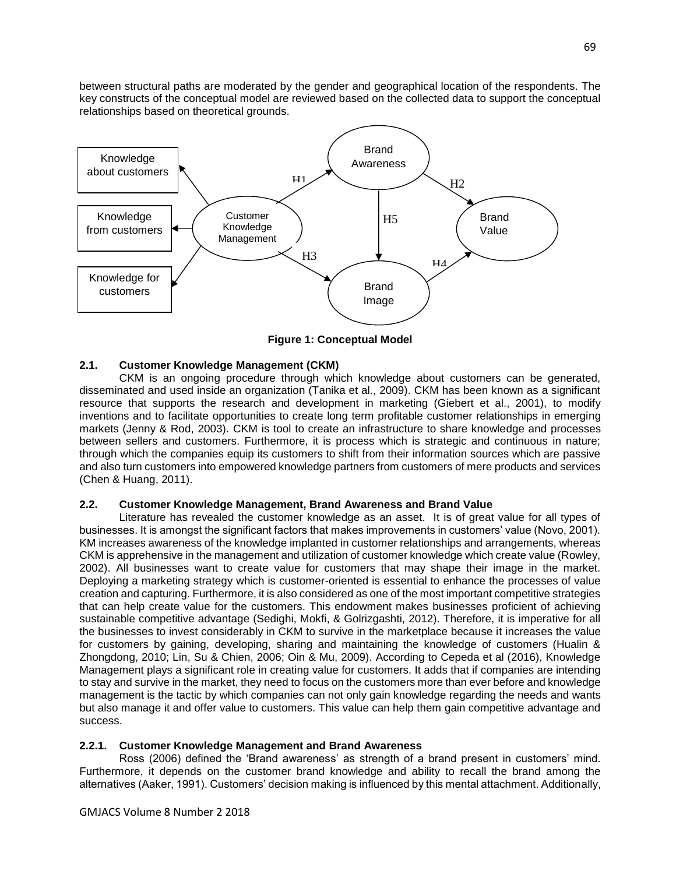between structural paths are moderated by the gender and geographical location of the respondents. The key constructs of the conceptual model are reviewed based on the collected data to support the conceptual relationships based on theoretical grounds.



**Figure 1: Conceptual Model**

# **2.1. Customer Knowledge Management (CKM)**

 CKM is an ongoing procedure through which knowledge about customers can be generated, disseminated and used inside an organization (Tanika et al., 2009). CKM has been known as a significant resource that supports the research and development in marketing (Giebert et al., 2001), to modify inventions and to facilitate opportunities to create long term profitable customer relationships in emerging markets (Jenny & Rod, 2003). CKM is tool to create an infrastructure to share knowledge and processes between sellers and customers. Furthermore, it is process which is strategic and continuous in nature; through which the companies equip its customers to shift from their information sources which are passive and also turn customers into empowered knowledge partners from customers of mere products and services (Chen & Huang, 2011).

# **2.2. Customer Knowledge Management, Brand Awareness and Brand Value**

 Literature has revealed the customer knowledge as an asset. It is of great value for all types of businesses. It is amongst the significant factors that makes improvements in customers' value (Novo, 2001). KM increases awareness of the knowledge implanted in customer relationships and arrangements, whereas CKM is apprehensive in the management and utilization of customer knowledge which create value (Rowley, 2002). All businesses want to create value for customers that may shape their image in the market. Deploying a marketing strategy which is customer-oriented is essential to enhance the processes of value creation and capturing. Furthermore, it is also considered as one of the most important competitive strategies that can help create value for the customers. This endowment makes businesses proficient of achieving sustainable competitive advantage (Sedighi, Mokfi, & Golrizgashti, 2012). Therefore, it is imperative for all the businesses to invest considerably in CKM to survive in the marketplace because it increases the value for customers by gaining, developing, sharing and maintaining the knowledge of customers (Hualin & Zhongdong, 2010; Lin, Su & Chien, 2006; Oin & Mu, 2009). According to Cepeda et al (2016), Knowledge Management plays a significant role in creating value for customers. It adds that if companies are intending to stay and survive in the market, they need to focus on the customers more than ever before and knowledge management is the tactic by which companies can not only gain knowledge regarding the needs and wants but also manage it and offer value to customers. This value can help them gain competitive advantage and success.

# **2.2.1. Customer Knowledge Management and Brand Awareness**

 Ross (2006) defined the 'Brand awareness' as strength of a brand present in customers' mind. Furthermore, it depends on the customer brand knowledge and ability to recall the brand among the alternatives (Aaker, 1991). Customers' decision making is influenced by this mental attachment. Additionally,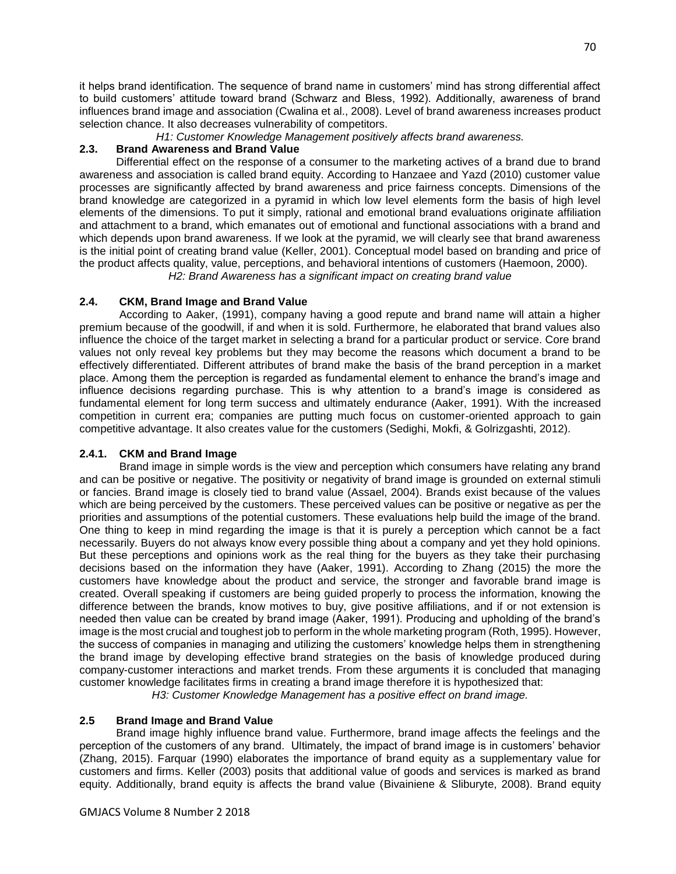it helps brand identification. The sequence of brand name in customers' mind has strong differential affect to build customers' attitude toward brand (Schwarz and Bless, 1992). Additionally, awareness of brand influences brand image and association (Cwalina et al., 2008). Level of brand awareness increases product selection chance. It also decreases vulnerability of competitors.

*H1: Customer Knowledge Management positively affects brand awareness.*

## **2.3. Brand Awareness and Brand Value**

 Differential effect on the response of a consumer to the marketing actives of a brand due to brand awareness and association is called brand equity. According to Hanzaee and Yazd (2010) customer value processes are significantly affected by brand awareness and price fairness concepts. Dimensions of the brand knowledge are categorized in a pyramid in which low level elements form the basis of high level elements of the dimensions. To put it simply, rational and emotional brand evaluations originate affiliation and attachment to a brand, which emanates out of emotional and functional associations with a brand and which depends upon brand awareness. If we look at the pyramid, we will clearly see that brand awareness is the initial point of creating brand value (Keller, 2001). Conceptual model based on branding and price of the product affects quality, value, perceptions, and behavioral intentions of customers (Haemoon, 2000).

*H2: Brand Awareness has a significant impact on creating brand value*

# **2.4. CKM, Brand Image and Brand Value**

 According to Aaker, (1991), company having a good repute and brand name will attain a higher premium because of the goodwill, if and when it is sold. Furthermore, he elaborated that brand values also influence the choice of the target market in selecting a brand for a particular product or service. Core brand values not only reveal key problems but they may become the reasons which document a brand to be effectively differentiated. Different attributes of brand make the basis of the brand perception in a market place. Among them the perception is regarded as fundamental element to enhance the brand's image and influence decisions regarding purchase. This is why attention to a brand's image is considered as fundamental element for long term success and ultimately endurance (Aaker, 1991). With the increased competition in current era; companies are putting much focus on customer-oriented approach to gain competitive advantage. It also creates value for the customers (Sedighi, Mokfi, & Golrizgashti, 2012).

## **2.4.1. CKM and Brand Image**

 Brand image in simple words is the view and perception which consumers have relating any brand and can be positive or negative. The positivity or negativity of brand image is grounded on external stimuli or fancies. Brand image is closely tied to brand value (Assael, 2004). Brands exist because of the values which are being perceived by the customers. These perceived values can be positive or negative as per the priorities and assumptions of the potential customers. These evaluations help build the image of the brand. One thing to keep in mind regarding the image is that it is purely a perception which cannot be a fact necessarily. Buyers do not always know every possible thing about a company and yet they hold opinions. But these perceptions and opinions work as the real thing for the buyers as they take their purchasing decisions based on the information they have (Aaker, 1991). According to Zhang (2015) the more the customers have knowledge about the product and service, the stronger and favorable brand image is created. Overall speaking if customers are being guided properly to process the information, knowing the difference between the brands, know motives to buy, give positive affiliations, and if or not extension is needed then value can be created by brand image (Aaker, 1991). Producing and upholding of the brand's image is the most crucial and toughest job to perform in the whole marketing program (Roth, 1995). However, the success of companies in managing and utilizing the customers' knowledge helps them in strengthening the brand image by developing effective brand strategies on the basis of knowledge produced during company-customer interactions and market trends. From these arguments it is concluded that managing customer knowledge facilitates firms in creating a brand image therefore it is hypothesized that:

*H3: Customer Knowledge Management has a positive effect on brand image.*

# **2.5 Brand Image and Brand Value**

 Brand image highly influence brand value. Furthermore, brand image affects the feelings and the perception of the customers of any brand. Ultimately, the impact of brand image is in customers' behavior (Zhang, 2015). Farquar (1990) elaborates the importance of brand equity as a supplementary value for customers and firms. Keller (2003) posits that additional value of goods and services is marked as brand equity. Additionally, brand equity is affects the brand value (Bivainiene & Sliburyte, 2008). Brand equity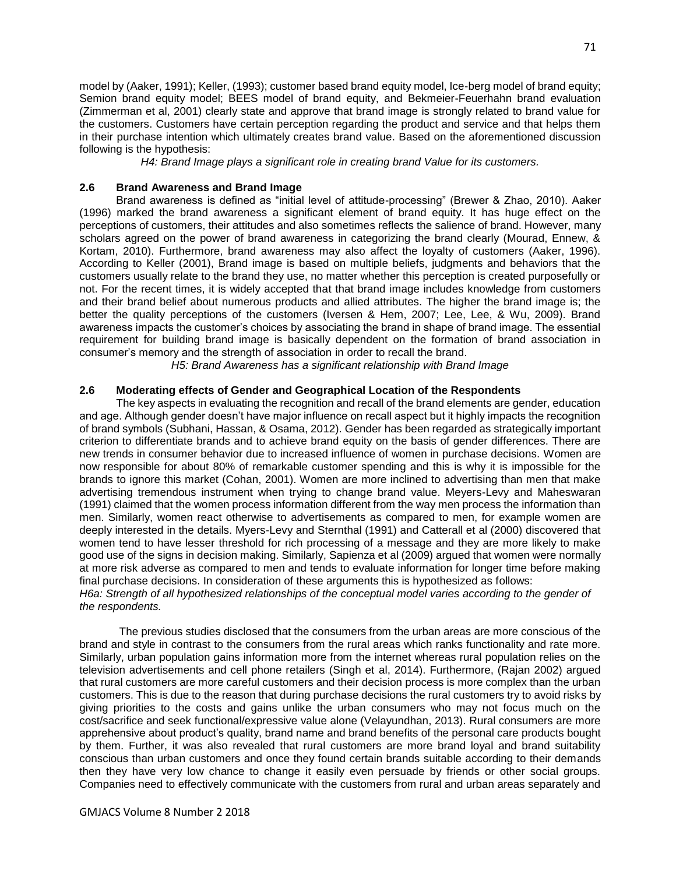model by (Aaker, 1991); Keller, (1993); customer based brand equity model, Ice-berg model of brand equity; Semion brand equity model; BEES model of brand equity, and Bekmeier-Feuerhahn brand evaluation (Zimmerman et al, 2001) clearly state and approve that brand image is strongly related to brand value for the customers. Customers have certain perception regarding the product and service and that helps them in their purchase intention which ultimately creates brand value. Based on the aforementioned discussion following is the hypothesis:

*H4: Brand Image plays a significant role in creating brand Value for its customers.*

## **2.6 Brand Awareness and Brand Image**

 Brand awareness is defined as "initial level of attitude-processing" (Brewer & Zhao, 2010). Aaker (1996) marked the brand awareness a significant element of brand equity. It has huge effect on the perceptions of customers, their attitudes and also sometimes reflects the salience of brand. However, many scholars agreed on the power of brand awareness in categorizing the brand clearly (Mourad, Ennew, & Kortam, 2010). Furthermore, brand awareness may also affect the loyalty of customers (Aaker, 1996). According to Keller (2001), Brand image is based on multiple beliefs, judgments and behaviors that the customers usually relate to the brand they use, no matter whether this perception is created purposefully or not. For the recent times, it is widely accepted that that brand image includes knowledge from customers and their brand belief about numerous products and allied attributes. The higher the brand image is; the better the quality perceptions of the customers (Iversen & Hem, 2007; Lee, Lee, & Wu, 2009). Brand awareness impacts the customer's choices by associating the brand in shape of brand image. The essential requirement for building brand image is basically dependent on the formation of brand association in consumer's memory and the strength of association in order to recall the brand.

*H5: Brand Awareness has a significant relationship with Brand Image*

## **2.6 Moderating effects of Gender and Geographical Location of the Respondents**

 The key aspects in evaluating the recognition and recall of the brand elements are gender, education and age. Although gender doesn't have major influence on recall aspect but it highly impacts the recognition of brand symbols (Subhani, Hassan, & Osama, 2012). Gender has been regarded as strategically important criterion to differentiate brands and to achieve brand equity on the basis of gender differences. There are new trends in consumer behavior due to increased influence of women in purchase decisions. Women are now responsible for about 80% of remarkable customer spending and this is why it is impossible for the brands to ignore this market (Cohan, 2001). Women are more inclined to advertising than men that make advertising tremendous instrument when trying to change brand value. Meyers-Levy and Maheswaran (1991) claimed that the women process information different from the way men process the information than men. Similarly, women react otherwise to advertisements as compared to men, for example women are deeply interested in the details. Myers-Levy and Sternthal (1991) and Catterall et al (2000) discovered that women tend to have lesser threshold for rich processing of a message and they are more likely to make good use of the signs in decision making. Similarly, Sapienza et al (2009) argued that women were normally at more risk adverse as compared to men and tends to evaluate information for longer time before making final purchase decisions. In consideration of these arguments this is hypothesized as follows: *H6a: Strength of all hypothesized relationships of the conceptual model varies according to the gender of* 

The previous studies disclosed that the consumers from the urban areas are more conscious of the brand and style in contrast to the consumers from the rural areas which ranks functionality and rate more. Similarly, urban population gains information more from the internet whereas rural population relies on the television advertisements and cell phone retailers (Singh et al, 2014). Furthermore, (Rajan 2002) argued that rural customers are more careful customers and their decision process is more complex than the urban customers. This is due to the reason that during purchase decisions the rural customers try to avoid risks by giving priorities to the costs and gains unlike the urban consumers who may not focus much on the cost/sacrifice and seek functional/expressive value alone (Velayundhan, 2013). Rural consumers are more apprehensive about product's quality, brand name and brand benefits of the personal care products bought by them. Further, it was also revealed that rural customers are more brand loyal and brand suitability conscious than urban customers and once they found certain brands suitable according to their demands then they have very low chance to change it easily even persuade by friends or other social groups. Companies need to effectively communicate with the customers from rural and urban areas separately and

*the respondents.*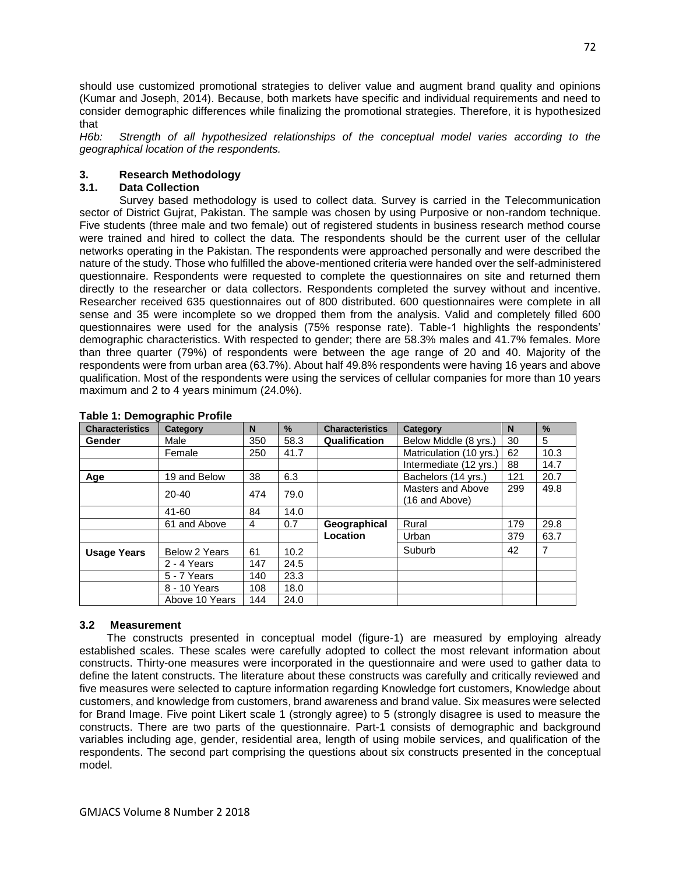should use customized promotional strategies to deliver value and augment brand quality and opinions (Kumar and Joseph, 2014). Because, both markets have specific and individual requirements and need to consider demographic differences while finalizing the promotional strategies. Therefore, it is hypothesized that

*H6b: Strength of all hypothesized relationships of the conceptual model varies according to the geographical location of the respondents.*

## **3. Research Methodology**

# **3.1. Data Collection**

 Survey based methodology is used to collect data. Survey is carried in the Telecommunication sector of District Gujrat, Pakistan. The sample was chosen by using Purposive or non-random technique. Five students (three male and two female) out of registered students in business research method course were trained and hired to collect the data. The respondents should be the current user of the cellular networks operating in the Pakistan. The respondents were approached personally and were described the nature of the study. Those who fulfilled the above-mentioned criteria were handed over the self-administered questionnaire. Respondents were requested to complete the questionnaires on site and returned them directly to the researcher or data collectors. Respondents completed the survey without and incentive. Researcher received 635 questionnaires out of 800 distributed. 600 questionnaires were complete in all sense and 35 were incomplete so we dropped them from the analysis. Valid and completely filled 600 questionnaires were used for the analysis (75% response rate). Table-1 highlights the respondents' demographic characteristics. With respected to gender; there are 58.3% males and 41.7% females. More than three quarter (79%) of respondents were between the age range of 20 and 40. Majority of the respondents were from urban area (63.7%). About half 49.8% respondents were having 16 years and above qualification. Most of the respondents were using the services of cellular companies for more than 10 years maximum and 2 to 4 years minimum (24.0%).

| <b>Characteristics</b> | Category             | N   | $\%$ | <b>Characteristics</b> | Category                            |     | $\frac{9}{6}$ |
|------------------------|----------------------|-----|------|------------------------|-------------------------------------|-----|---------------|
| Gender                 | Male                 | 350 | 58.3 | Qualification          | Below Middle (8 yrs.)               | 30  | 5             |
|                        | Female               | 250 | 41.7 |                        | Matriculation (10 yrs.)             | 62  | 10.3          |
|                        |                      |     |      |                        | Intermediate (12 yrs.)              |     | 14.7          |
| Age                    | 19 and Below         | 38  | 6.3  |                        | Bachelors (14 yrs.)                 | 121 | 20.7          |
|                        | $20 - 40$            | 474 | 79.0 |                        | Masters and Above<br>(16 and Above) | 299 | 49.8          |
|                        | $41 - 60$            | 84  | 14.0 |                        |                                     |     |               |
|                        | 61 and Above         | 4   | 0.7  | Geographical           | Rural                               | 179 | 29.8          |
|                        |                      |     |      | Location               | Urban                               | 379 | 63.7          |
| <b>Usage Years</b>     | <b>Below 2 Years</b> | 61  | 10.2 |                        | Suburb                              | 42  | 7             |
|                        | 2 - 4 Years          | 147 | 24.5 |                        |                                     |     |               |
|                        | 5 - 7 Years          | 140 | 23.3 |                        |                                     |     |               |
|                        | 8 - 10 Years         | 108 | 18.0 |                        |                                     |     |               |
|                        | Above 10 Years       | 144 | 24.0 |                        |                                     |     |               |

## **Table 1: Demographic Profile**

## **3.2 Measurement**

 The constructs presented in conceptual model (figure-1) are measured by employing already established scales. These scales were carefully adopted to collect the most relevant information about constructs. Thirty-one measures were incorporated in the questionnaire and were used to gather data to define the latent constructs. The literature about these constructs was carefully and critically reviewed and five measures were selected to capture information regarding Knowledge fort customers, Knowledge about customers, and knowledge from customers, brand awareness and brand value. Six measures were selected for Brand Image. Five point Likert scale 1 (strongly agree) to 5 (strongly disagree is used to measure the constructs. There are two parts of the questionnaire. Part-1 consists of demographic and background variables including age, gender, residential area, length of using mobile services, and qualification of the respondents. The second part comprising the questions about six constructs presented in the conceptual model.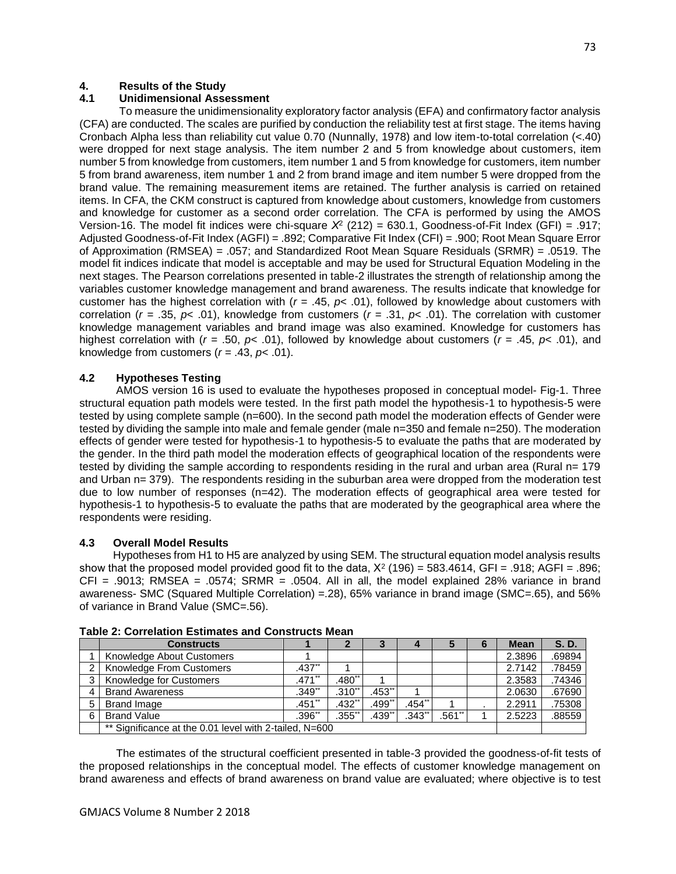# **4. Results of the Study**

## **4.1 Unidimensional Assessment**

 To measure the unidimensionality exploratory factor analysis (EFA) and confirmatory factor analysis (CFA) are conducted. The scales are purified by conduction the reliability test at first stage. The items having Cronbach Alpha less than reliability cut value 0.70 (Nunnally, 1978) and low item-to-total correlation (<.40) were dropped for next stage analysis. The item number 2 and 5 from knowledge about customers, item number 5 from knowledge from customers, item number 1 and 5 from knowledge for customers, item number 5 from brand awareness, item number 1 and 2 from brand image and item number 5 were dropped from the brand value. The remaining measurement items are retained. The further analysis is carried on retained items. In CFA, the CKM construct is captured from knowledge about customers, knowledge from customers and knowledge for customer as a second order correlation. The CFA is performed by using the AMOS Version-16. The model fit indices were chi-square *Χ*<sup>2</sup> (212) = 630.1, Goodness-of-Fit Index (GFI) = .917; Adjusted Goodness-of-Fit Index (AGFI) = .892; Comparative Fit Index (CFI) = .900; Root Mean Square Error of Approximation (RMSEA) = .057; and Standardized Root Mean Square Residuals (SRMR) = .0519. The model fit indices indicate that model is acceptable and may be used for Structural Equation Modeling in the next stages. The Pearson correlations presented in table-2 illustrates the strength of relationship among the variables customer knowledge management and brand awareness. The results indicate that knowledge for customer has the highest correlation with (*r* = .45, *p*< .01), followed by knowledge about customers with correlation (*r* = .35, *p*< .01), knowledge from customers (*r* = .31, *p*< .01). The correlation with customer knowledge management variables and brand image was also examined. Knowledge for customers has highest correlation with (*r* = .50, *p*< .01), followed by knowledge about customers (*r* = .45, *p*< .01), and knowledge from customers  $(r = .43, p < .01)$ .

## **4.2 Hypotheses Testing**

 AMOS version 16 is used to evaluate the hypotheses proposed in conceptual model- Fig-1. Three structural equation path models were tested. In the first path model the hypothesis-1 to hypothesis-5 were tested by using complete sample (n=600). In the second path model the moderation effects of Gender were tested by dividing the sample into male and female gender (male n=350 and female n=250). The moderation effects of gender were tested for hypothesis-1 to hypothesis-5 to evaluate the paths that are moderated by the gender. In the third path model the moderation effects of geographical location of the respondents were tested by dividing the sample according to respondents residing in the rural and urban area (Rural n= 179 and Urban n= 379). The respondents residing in the suburban area were dropped from the moderation test due to low number of responses (n=42). The moderation effects of geographical area were tested for hypothesis-1 to hypothesis-5 to evaluate the paths that are moderated by the geographical area where the respondents were residing.

## **4.3 Overall Model Results**

 Hypotheses from H1 to H5 are analyzed by using SEM. The structural equation model analysis results show that the proposed model provided good fit to the data,  $X^2$  (196) = 583.4614, GFI = .918; AGFI = .896;  $CFI = .9013$ ; RMSEA = .0574; SRMR = .0504. All in all, the model explained 28% variance in brand awareness- SMC (Squared Multiple Correlation) =.28), 65% variance in brand image (SMC=.65), and 56% of variance in Brand Value (SMC=.56).

|   | <b>Constructs</b>                                      |             |           | P                   |                      |           | 6 | <b>Mean</b> | S.D.   |
|---|--------------------------------------------------------|-------------|-----------|---------------------|----------------------|-----------|---|-------------|--------|
|   | Knowledge About Customers                              |             |           |                     |                      |           |   | 2.3896      | .69894 |
|   | Knowledge From Customers                               | $.437**$    |           |                     |                      |           |   | 2.7142      | .78459 |
| 3 | Knowledge for Customers                                | $.471$ **   | $.480**$  |                     |                      |           |   | 2.3583      | .74346 |
| 4 | <b>Brand Awareness</b>                                 | $.349**$    | $.310**$  | $.453$ **           |                      |           |   | 2.0630      | .67690 |
| 5 | Brand Image                                            | $.451**$    | $.432$ ** | $.499$ <sup>*</sup> | .454"                |           |   | 2.2911      | .75308 |
| 6 | <b>Brand Value</b>                                     | $.396^{**}$ | $.355$ ** | .439**              | $.343$ <sup>**</sup> | $.561$ ** |   | 2.5223      | .88559 |
|   | ** Significance at the 0.01 level with 2-tailed, N=600 |             |           |                     |                      |           |   |             |        |

**Table 2: Correlation Estimates and Constructs Mean**

 The estimates of the structural coefficient presented in table-3 provided the goodness-of-fit tests of the proposed relationships in the conceptual model. The effects of customer knowledge management on brand awareness and effects of brand awareness on brand value are evaluated; where objective is to test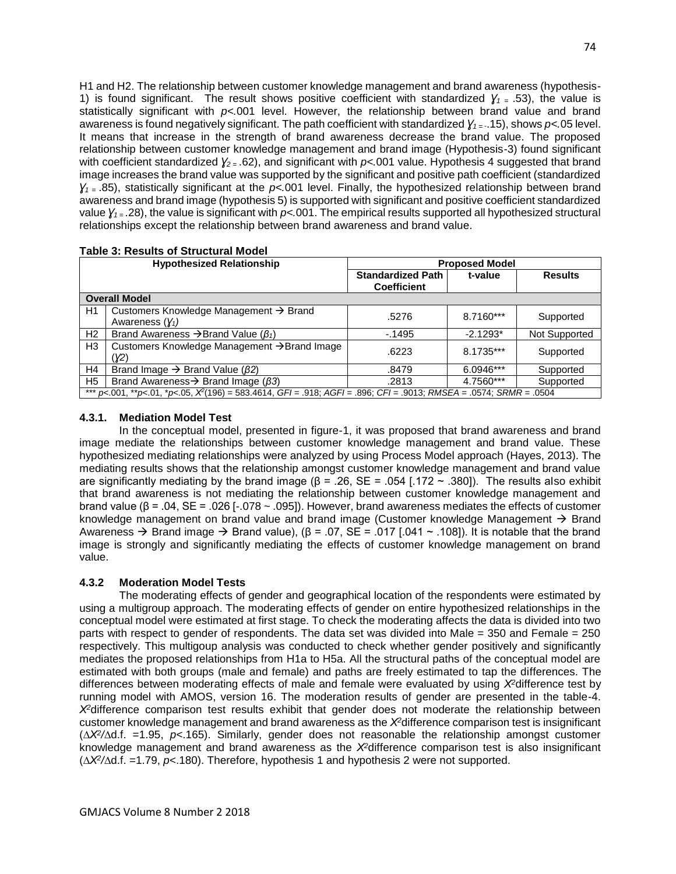H1 and H2. The relationship between customer knowledge management and brand awareness (hypothesis-1) is found significant. The result shows positive coefficient with standardized  $Y_1 = .53$ , the value is statistically significant with *p<.*001 level. However, the relationship between brand value and brand awareness is found negatively significant. The path coefficient with standardized *Ɣ1 =* -.15), shows *p<.*05 level. It means that increase in the strength of brand awareness decrease the brand value. The proposed relationship between customer knowledge management and brand image (Hypothesis-3) found significant with coefficient standardized *Ɣ2 =* .62), and significant with *p<.*001 value. Hypothesis 4 suggested that brand image increases the brand value was supported by the significant and positive path coefficient (standardized *Ɣ1 =* .85), statistically significant at the *p<.*001 level. Finally, the hypothesized relationship between brand awareness and brand image (hypothesis 5) is supported with significant and positive coefficient standardized value *Ɣ1 =* .28), the value is significant with *p<.*001. The empirical results supported all hypothesized structural relationships except the relationship between brand awareness and brand value.

| <b>Hypothesized Relationship</b> |                                                                                                                                              | <b>Proposed Model</b>                          |             |                |  |  |
|----------------------------------|----------------------------------------------------------------------------------------------------------------------------------------------|------------------------------------------------|-------------|----------------|--|--|
|                                  |                                                                                                                                              | <b>Standardized Path</b><br><b>Coefficient</b> | t-value     | <b>Results</b> |  |  |
|                                  | <b>Overall Model</b>                                                                                                                         |                                                |             |                |  |  |
| H1                               | Customers Knowledge Management → Brand<br>Awareness $(Y_1)$                                                                                  | .5276                                          | $8.7160***$ | Supported      |  |  |
| H <sub>2</sub>                   | Brand Awareness $\rightarrow$ Brand Value ( $\beta_1$ )                                                                                      | $-1495$                                        | $-2.1293*$  | Not Supported  |  |  |
| H <sub>3</sub>                   | Customers Knowledge Management → Brand Image<br>(Y2)                                                                                         | .6223                                          | 8.1735***   | Supported      |  |  |
| H <sub>4</sub>                   | Brand Image $\rightarrow$ Brand Value ( $\beta$ 2)                                                                                           | .8479                                          | $6.0946***$ | Supported      |  |  |
| H <sub>5</sub>                   | Brand Awareness $\rightarrow$ Brand Image ( $\beta$ 3)                                                                                       | .2813                                          | 4.7560***   | Supported      |  |  |
|                                  | *** $pc.001$ , ** $pc.01$ , * $pc.05$ , $X^2(196) = 583.4614$ , $GF = .918$ ; $AGF = .896$ ; $CF = .9013$ ; $RMSEA = .0574$ ; $SRMR = .0504$ |                                                |             |                |  |  |

# **Table 3: Results of Structural Model**

## **4.3.1. Mediation Model Test**

 In the conceptual model, presented in figure-1, it was proposed that brand awareness and brand image mediate the relationships between customer knowledge management and brand value. These hypothesized mediating relationships were analyzed by using Process Model approach (Hayes, 2013). The mediating results shows that the relationship amongst customer knowledge management and brand value are significantly mediating by the brand image ( $\beta$  = .26, SE = .054 [.172 ~ .380]). The results also exhibit that brand awareness is not mediating the relationship between customer knowledge management and brand value (β = .04, SE = .026 [-.078 ~ .095]). However, brand awareness mediates the effects of customer knowledge management on brand value and brand image (Customer knowledge Management  $\rightarrow$  Brand Awareness  $\rightarrow$  Brand image  $\rightarrow$  Brand value), ( $\beta$  = .07, SE = .017 [.041  $\sim$  .108]). It is notable that the brand image is strongly and significantly mediating the effects of customer knowledge management on brand value.

# **4.3.2 Moderation Model Tests**

 The moderating effects of gender and geographical location of the respondents were estimated by using a multigroup approach. The moderating effects of gender on entire hypothesized relationships in the conceptual model were estimated at first stage. To check the moderating affects the data is divided into two parts with respect to gender of respondents. The data set was divided into Male = 350 and Female = 250 respectively. This multigoup analysis was conducted to check whether gender positively and significantly mediates the proposed relationships from H1a to H5a. All the structural paths of the conceptual model are estimated with both groups (male and female) and paths are freely estimated to tap the differences. The differences between moderating effects of male and female were evaluated by using *Χ<sup>2</sup>*difference test by running model with AMOS, version 16. The moderation results of gender are presented in the table-4. *Χ<sup>2</sup>*difference comparison test results exhibit that gender does not moderate the relationship between customer knowledge management and brand awareness as the *Χ<sup>2</sup>*difference comparison test is insignificant (∆*Χ<sup>2</sup> /*∆d.f. =1.95, *p*<.165). Similarly, gender does not reasonable the relationship amongst customer knowledge management and brand awareness as the *Χ<sup>2</sup>*difference comparison test is also insignificant (∆*Χ<sup>2</sup> /*∆d.f. =1.79, *p*<.180). Therefore, hypothesis 1 and hypothesis 2 were not supported.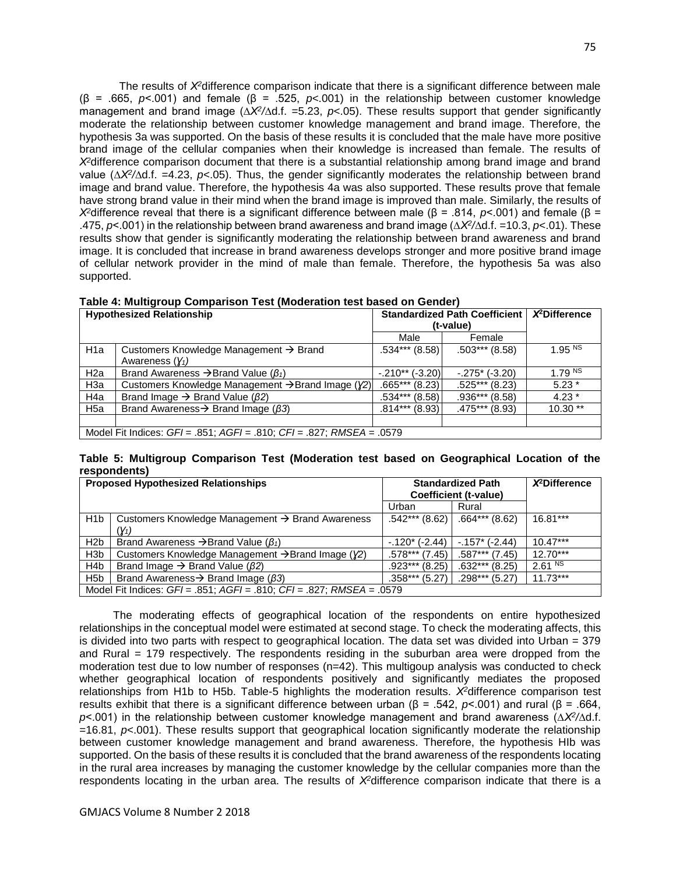The results of *Χ<sup>2</sup>*difference comparison indicate that there is a significant difference between male (β = .665, *p*<.001) and female (β = .525, *p*<.001) in the relationship between customer knowledge management and brand image (∆*Χ<sup>2</sup> /*∆d.f. =5.23, *p*<.05). These results support that gender significantly moderate the relationship between customer knowledge management and brand image. Therefore, the hypothesis 3a was supported. On the basis of these results it is concluded that the male have more positive brand image of the cellular companies when their knowledge is increased than female. The results of *Χ<sup>2</sup>*difference comparison document that there is a substantial relationship among brand image and brand value (∆*Χ<sup>2</sup> /*∆d.f. =4.23, *p*<.05). Thus, the gender significantly moderates the relationship between brand image and brand value. Therefore, the hypothesis 4a was also supported. These results prove that female have strong brand value in their mind when the brand image is improved than male. Similarly, the results of *Χ<sup>2</sup>*difference reveal that there is a significant difference between male (β = .814, *p*<.001) and female (β = .475, *p*<.001) in the relationship between brand awareness and brand image (∆*Χ<sup>2</sup> /*∆d.f. =10.3, *p*<.01). These results show that gender is significantly moderating the relationship between brand awareness and brand image. It is concluded that increase in brand awareness develops stronger and more positive brand image of cellular network provider in the mind of male than female. Therefore, the hypothesis 5a was also supported.

| <b>Hypothesized Relationship</b>                                            |                                                                      | <b>Standardized Path Coefficient</b><br>(t-value) | $X^2$ Difference  |                    |  |  |
|-----------------------------------------------------------------------------|----------------------------------------------------------------------|---------------------------------------------------|-------------------|--------------------|--|--|
|                                                                             |                                                                      | Male                                              | Female            |                    |  |  |
| H <sub>1</sub> a                                                            | Customers Knowledge Management $\rightarrow$ Brand                   | .534*** (8.58)                                    | $.503***$ (8.58)  | 1.95 NS            |  |  |
|                                                                             | Awareness $(Y_1)$                                                    |                                                   |                   |                    |  |  |
| H <sub>2a</sub>                                                             | Brand Awareness $\rightarrow$ Brand Value ( $\beta_1$ )              | $-.210**(-3.20)$                                  | $-.275$ * (-3.20) | 1.79 <sup>NS</sup> |  |  |
| H <sub>3</sub> a                                                            | Customers Knowledge Management $\rightarrow$ Brand Image ( $\chi$ 2) | $.665***$ (8.23)                                  | $.525***$ (8.23)  | $5.23*$            |  |  |
| H4a                                                                         | Brand Image $\rightarrow$ Brand Value ( $\beta$ 2)                   | $.534***$ (8.58)                                  | .936*** (8.58)    | $4.23*$            |  |  |
| H <sub>5a</sub>                                                             | Brand Awareness $\rightarrow$ Brand Image ( $\beta$ 3)               | $.814***$ (8.93)                                  | .475*** (8.93)    | $10.30**$          |  |  |
|                                                                             |                                                                      |                                                   |                   |                    |  |  |
| Model Fit Indices: $GF = .851$ ; $AGF = .810$ ; $CF = .827$ ; RMSEA = .0579 |                                                                      |                                                   |                   |                    |  |  |

**Table 5: Multigroup Comparison Test (Moderation test based on Geographical Location of the respondents)**

| <b>Proposed Hypothesized Relationships</b>                                  |                                                                      | <b>Standardized Path</b><br>Coefficient (t-value) | $X^2$ Difference |                    |  |
|-----------------------------------------------------------------------------|----------------------------------------------------------------------|---------------------------------------------------|------------------|--------------------|--|
|                                                                             |                                                                      | Urban                                             | Rural            |                    |  |
| H <sub>1</sub> b                                                            | Customers Knowledge Management $\rightarrow$ Brand Awareness         | $.542***$ (8.62)                                  | $.664***$ (8.62) | $16.81***$         |  |
|                                                                             | (Y1)                                                                 |                                                   |                  |                    |  |
| H <sub>2</sub> b                                                            | Brand Awareness $\rightarrow$ Brand Value ( $\beta_1$ )              | $-120*(-2.44)$                                    | $-157$ * (-2.44) | $10.47***$         |  |
| H <sub>3</sub> b                                                            | Customers Knowledge Management $\rightarrow$ Brand Image ( $\chi$ 2) | .578*** (7.45)                                    | .587*** (7.45)   | $12.70***$         |  |
| H <sub>4</sub> b                                                            | Brand Image $\rightarrow$ Brand Value ( $\beta$ 2)                   | $.923***$ (8.25)                                  | $.632***$ (8.25) | 2.61 <sup>NS</sup> |  |
| H <sub>5</sub> b                                                            | Brand Awareness $\rightarrow$ Brand Image ( $\beta$ 3)               | $.358***$ (5.27)                                  | $.298***$ (5.27) | $11.73***$         |  |
| Model Fit Indices: $GF = .851$ ; $AGF = .810$ ; $CF = .827$ ; RMSEA = .0579 |                                                                      |                                                   |                  |                    |  |

 The moderating effects of geographical location of the respondents on entire hypothesized relationships in the conceptual model were estimated at second stage. To check the moderating affects, this is divided into two parts with respect to geographical location. The data set was divided into Urban = 379 and Rural = 179 respectively. The respondents residing in the suburban area were dropped from the moderation test due to low number of responses (n=42). This multigoup analysis was conducted to check whether geographical location of respondents positively and significantly mediates the proposed relationships from H1b to H5b. Table-5 highlights the moderation results. *Χ<sup>2</sup>*difference comparison test results exhibit that there is a significant difference between urban (β = .542, *p*<.001) and rural (β = .664, *p*<.001) in the relationship between customer knowledge management and brand awareness (∆*Χ<sup>2</sup> /*∆d.f. =16.81, *p*<.001). These results support that geographical location significantly moderate the relationship between customer knowledge management and brand awareness. Therefore, the hypothesis HIb was supported. On the basis of these results it is concluded that the brand awareness of the respondents locating in the rural area increases by managing the customer knowledge by the cellular companies more than the respondents locating in the urban area. The results of *Χ2*difference comparison indicate that there is a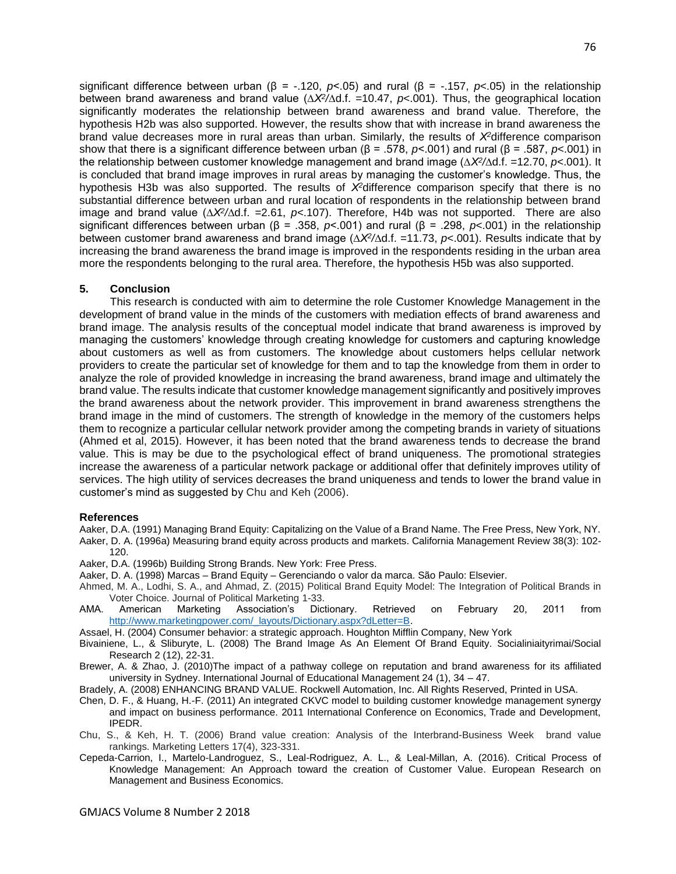significant difference between urban (β = -.120, *p*<.05) and rural (β = -.157, *p*<.05) in the relationship between brand awareness and brand value (∆*Χ<sup>2</sup> /*∆d.f. =10.47, *p*<.001). Thus, the geographical location significantly moderates the relationship between brand awareness and brand value. Therefore, the hypothesis H2b was also supported. However, the results show that with increase in brand awareness the brand value decreases more in rural areas than urban. Similarly, the results of *Χ<sup>2</sup>*difference comparison show that there is a significant difference between urban (β = .578, *p*<.001) and rural (β = .587, *p*<.001) in the relationship between customer knowledge management and brand image (∆*Χ<sup>2</sup> /*∆d.f. =12.70, *p*<.001). It is concluded that brand image improves in rural areas by managing the customer's knowledge. Thus, the hypothesis H3b was also supported. The results of *Χ<sup>2</sup>*difference comparison specify that there is no substantial difference between urban and rural location of respondents in the relationship between brand image and brand value (∆*Χ<sup>2</sup> /*∆d.f. =2.61, *p*<.107). Therefore, H4b was not supported. There are also significant differences between urban (β = .358, *p*<.001) and rural (β = .298, *p*<.001) in the relationship between customer brand awareness and brand image (∆*Χ<sup>2</sup> /*∆d.f. =11.73, *p*<.001). Results indicate that by increasing the brand awareness the brand image is improved in the respondents residing in the urban area more the respondents belonging to the rural area. Therefore, the hypothesis H5b was also supported.

#### **5. Conclusion**

 This research is conducted with aim to determine the role Customer Knowledge Management in the development of brand value in the minds of the customers with mediation effects of brand awareness and brand image. The analysis results of the conceptual model indicate that brand awareness is improved by managing the customers' knowledge through creating knowledge for customers and capturing knowledge about customers as well as from customers. The knowledge about customers helps cellular network providers to create the particular set of knowledge for them and to tap the knowledge from them in order to analyze the role of provided knowledge in increasing the brand awareness, brand image and ultimately the brand value. The results indicate that customer knowledge management significantly and positively improves the brand awareness about the network provider. This improvement in brand awareness strengthens the brand image in the mind of customers. The strength of knowledge in the memory of the customers helps them to recognize a particular cellular network provider among the competing brands in variety of situations (Ahmed et al, 2015). However, it has been noted that the brand awareness tends to decrease the brand value. This is may be due to the psychological effect of brand uniqueness. The promotional strategies increase the awareness of a particular network package or additional offer that definitely improves utility of services. The high utility of services decreases the brand uniqueness and tends to lower the brand value in customer's mind as suggested by Chu and Keh (2006).

#### **References**

Aaker, D.A. (1991) Managing Brand Equity: Capitalizing on the Value of a Brand Name. The Free Press, New York, NY. Aaker, D. A. (1996a) Measuring brand equity across products and markets. California Management Review 38(3): 102- 120.

- Aaker, D.A. (1996b) Building Strong Brands. New York: Free Press.
- Aaker, D. A. (1998) Marcas Brand Equity Gerenciando o valor da marca. São Paulo: Elsevier.
- Ahmed, M. A., Lodhi, S. A., and Ahmad, Z. (2015) Political Brand Equity Model: The Integration of Political Brands in Voter Choice. Journal of Political Marketing 1-33.
- AMA. American Marketing Association's Dictionary. Retrieved on February 20, 2011 from [http://www.marketingpower.com/\\_layouts/Dictionary.aspx?dLetter=B.](http://www.marketingpower.com/_layouts/Dictionary.aspx?dLetter=B)
- Assael, H. (2004) Consumer behavior: a strategic approach. Houghton Mifflin Company, New York
- Bivainiene, L., & Sliburyte, L. (2008) The Brand Image As An Element Of Brand Equity. Socialiniaityrimai/Social Research 2 (12), 22-31.
- Brewer, A. & Zhao, J. (2010)The impact of a pathway college on reputation and brand awareness for its affiliated university in Sydney. International Journal of Educational Management 24 (1), 34 – 47.
- Bradely, A. (2008) ENHANCING BRAND VALUE. Rockwell Automation, Inc. All Rights Reserved, Printed in USA.
- Chen, D. F., & Huang, H.-F. (2011) An integrated CKVC model to building customer knowledge management synergy and impact on business performance. 2011 International Conference on Economics, Trade and Development, IPEDR.
- Chu, S., & Keh, H. T. (2006) Brand value creation: Analysis of the Interbrand-Business Week brand value rankings. Marketing Letters 17(4), 323-331.
- Cepeda-Carrion, I., Martelo-Landroguez, S., Leal-Rodriguez, A. L., & Leal-Millan, A. (2016). Critical Process of Knowledge Management: An Approach toward the creation of Customer Value. European Research on Management and Business Economics.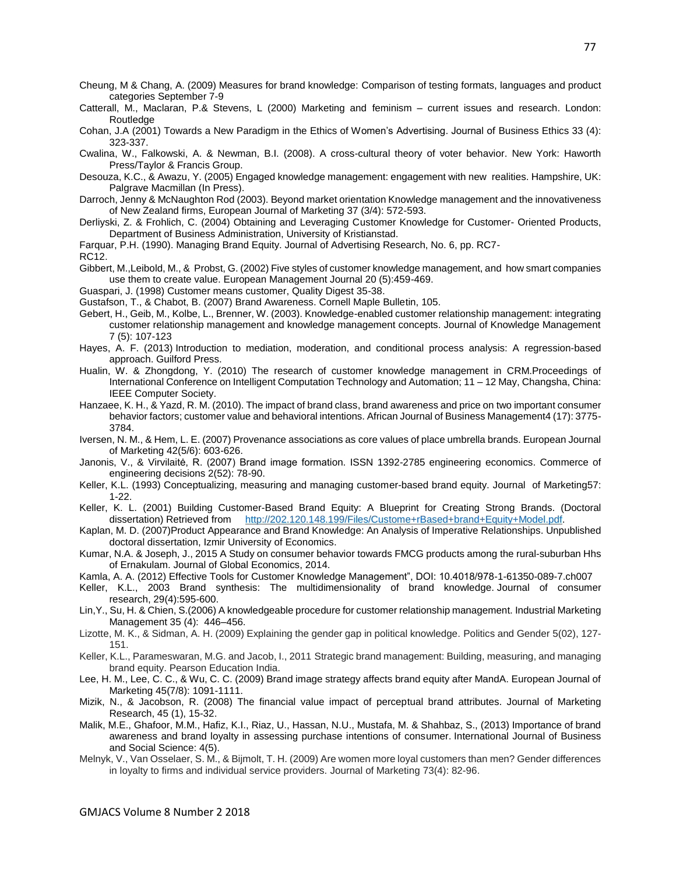Cheung, M & Chang, A. (2009) Measures for brand knowledge: Comparison of testing formats, languages and product categories September 7-9

Catterall, M., Maclaran, P.& Stevens, L (2000) Marketing and feminism – current issues and research. London: Routledge

Cohan, J.A (2001) Towards a New Paradigm in the Ethics of Women's Advertising. Journal of Business Ethics 33 (4): 323-337.

Cwalina, W., Falkowski, A. & Newman, B.I. (2008). A cross-cultural theory of voter behavior. New York: Haworth Press/Taylor & Francis Group.

Desouza, K.C., & Awazu, Y. (2005) Engaged knowledge management: engagement with new realities. Hampshire, UK: Palgrave Macmillan (In Press).

Darroch, Jenny & McNaughton Rod (2003). Beyond market orientation Knowledge management and the innovativeness of New Zealand firms, European Journal of Marketing 37 (3/4): 572-593.

Derliyski, Z. & Frohlich, C. (2004) Obtaining and Leveraging Customer Knowledge for Customer- Oriented Products, Department of Business Administration, University of Kristianstad.

Farquar, P.H. (1990). Managing Brand Equity. Journal of Advertising Research, No. 6, pp. RC7-

RC12.

Gibbert, M.,Leibold, M., & Probst, G. (2002) Five styles of customer knowledge management, and how smart companies use them to create value. European Management Journal 20 (5):459-469.

Guaspari, J. (1998) Customer means customer, Quality Digest 35-38.

Gustafson, T., & Chabot, B. (2007) Brand Awareness. Cornell Maple Bulletin, 105.

Gebert, H., Geib, M., Kolbe, L., Brenner, W. (2003). Knowledge-enabled customer relationship management: integrating customer relationship management and knowledge management concepts. Journal of Knowledge Management 7 (5): 107-123

- Hayes, A. F. (2013) Introduction to mediation, moderation, and conditional process analysis: A regression-based approach. Guilford Press.
- Hualin, W. & Zhongdong, Y. (2010) The research of customer knowledge management in CRM.Proceedings of International Conference on Intelligent Computation Technology and Automation; 11 – 12 May, Changsha, China: IEEE Computer Society.
- Hanzaee, K. H., & Yazd, R. M. (2010). The impact of brand class, brand awareness and price on two important consumer behavior factors; customer value and behavioral intentions. African Journal of Business Management4 (17): 3775- 3784.

Iversen, N. M., & Hem, L. E. (2007) Provenance associations as core values of place umbrella brands. European Journal of Marketing 42(5/6): 603-626.

Janonis, V., & Virvilaitė, R. (2007) Brand image formation. ISSN 1392-2785 engineering economics. Commerce of engineering decisions 2(52): 78-90.

Keller, K.L. (1993) Conceptualizing, measuring and managing customer-based brand equity. Journal of Marketing57: 1-22.

Keller, K. L. (2001) Building Customer-Based Brand Equity: A Blueprint for Creating Strong Brands. (Doctoral dissertation) Retrieved from [http://202.120.148.199/Files/Custome+rBased+brand+Equity+Model.pdf.](http://202.120.148.199/Files/Custome+rBased+brand+Equity+Model.pdf)

Kaplan, M. D. (2007)Product Appearance and Brand Knowledge: An Analysis of Imperative Relationships. Unpublished doctoral dissertation, Izmir University of Economics.

Kumar, N.A. & Joseph, J., 2015 A Study on consumer behavior towards FMCG products among the rural-suburban Hhs of Ernakulam. Journal of Global Economics, 2014.

Kamla, A. A. (2012) Effective Tools for Customer Knowledge Management", DOI: 10.4018/978-1-61350-089-7.ch007

Keller, K.L., 2003 Brand synthesis: The multidimensionality of brand knowledge. Journal of consumer research, 29(4):595-600.

Lin,Y., Su, H. & Chien, S.(2006) A knowledgeable procedure for customer relationship management. Industrial Marketing Management 35 (4): 446–456.

Lizotte, M. K., & Sidman, A. H. (2009) Explaining the gender gap in political knowledge. Politics and Gender 5(02), 127- 151.

Keller, K.L., Parameswaran, M.G. and Jacob, I., 2011 Strategic brand management: Building, measuring, and managing brand equity. Pearson Education India.

Lee, H. M., Lee, C. C., & Wu, C. C. (2009) Brand image strategy affects brand equity after MandA. European Journal of Marketing 45(7/8): 1091-1111.

Mizik, N., & Jacobson, R. (2008) The financial value impact of perceptual brand attributes. Journal of Marketing Research, 45 (1), 15-32.

- Malik, M.E., Ghafoor, M.M., Hafiz, K.I., Riaz, U., Hassan, N.U., Mustafa, M. & Shahbaz, S., (2013) Importance of brand awareness and brand loyalty in assessing purchase intentions of consumer. International Journal of Business and Social Science: 4(5).
- Melnyk, V., Van Osselaer, S. M., & Bijmolt, T. H. (2009) Are women more loyal customers than men? Gender differences in loyalty to firms and individual service providers. Journal of Marketing 73(4): 82-96.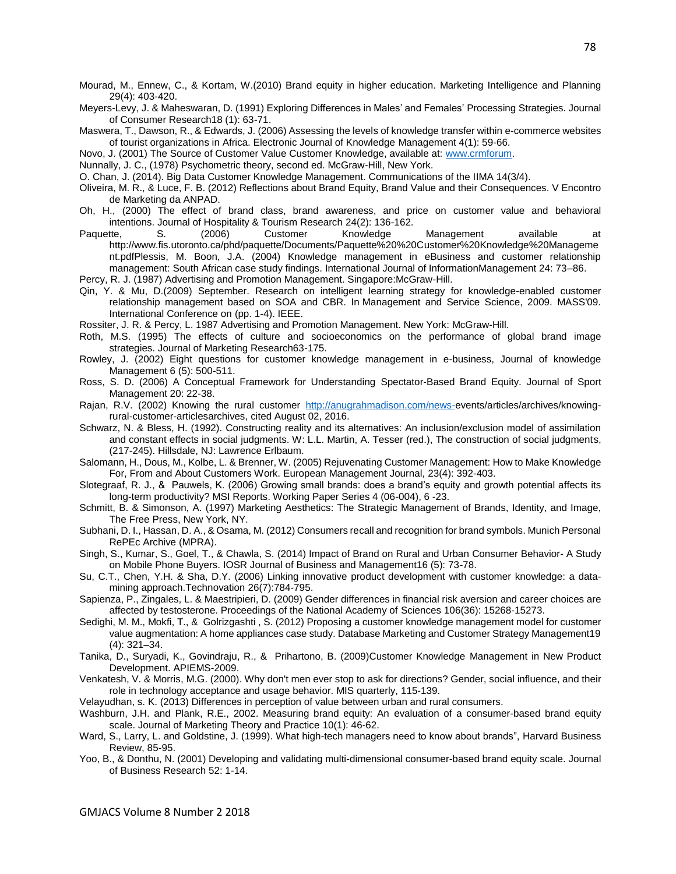- Mourad, M., Ennew, C., & Kortam, W.(2010) Brand equity in higher education. Marketing Intelligence and Planning 29(4): 403-420.
- Meyers-Levy, J. & Maheswaran, D. (1991) Exploring Differences in Males' and Females' Processing Strategies. Journal of Consumer Research18 (1): 63-71.
- Maswera, T., Dawson, R., & Edwards, J. (2006) Assessing the levels of knowledge transfer within e-commerce websites of tourist organizations in Africa. Electronic Journal of Knowledge Management 4(1): 59-66.
- Novo, J. (2001) The Source of Customer Value Customer Knowledge, available at: [www.crmforum.](http://www.crmforum/)
- Nunnally, J. C., (1978) Psychometric theory, second ed. McGraw-Hill, New York.
- O. Chan, J. (2014). Big Data Customer Knowledge Management. Communications of the IIMA 14(3/4).
- Oliveira, M. R., & Luce, F. B. (2012) Reflections about Brand Equity, Brand Value and their Consequences. V Encontro de Marketing da ANPAD.
- Oh, H., (2000) The effect of brand class, brand awareness, and price on customer value and behavioral intentions. Journal of Hospitality & Tourism Research 24(2): 136-162.<br>tte, S. (2006) Customer Knowledge
- Paquette, S. (2006) Customer Knowledge Management available at http://www.fis.utoronto.ca/phd/paquette/Documents/Paquette%20%20Customer%20Knowledge%20Manageme nt.pdfPlessis, M. Boon, J.A. (2004) Knowledge management in eBusiness and customer relationship management: South African case study findings. International Journal of InformationManagement 24: 73–86.
- Percy, R. J. (1987) Advertising and Promotion Management. Singapore:McGraw-Hill.
- Qin, Y. & Mu, D.(2009) September. Research on intelligent learning strategy for knowledge-enabled customer relationship management based on SOA and CBR. In Management and Service Science, 2009. MASS'09. International Conference on (pp. 1-4). IEEE.
- Rossiter, J. R. & Percy, L. 1987 Advertising and Promotion Management. New York: McGraw-Hill.
- Roth, M.S. (1995) The effects of culture and socioeconomics on the performance of global brand image strategies. Journal of Marketing Research63-175.
- Rowley, J. (2002) Eight questions for customer knowledge management in e-business, Journal of knowledge Management 6 (5): 500-511.
- Ross, S. D. (2006) A Conceptual Framework for Understanding Spectator-Based Brand Equity. Journal of Sport Management 20: 22-38.
- Rajan, R.V. (2002) Knowing the rural customer [http://anugrahmadison.com/news-e](http://anugrahmadison.com/news-)vents/articles/archives/knowingrural-customer-articlesarchives, cited August 02, 2016.
- Schwarz, N. & Bless, H. (1992). Constructing reality and its alternatives: An inclusion/exclusion model of assimilation and constant effects in social judgments. W: L.L. Martin, A. Tesser (red.), The construction of social judgments, (217-245). Hillsdale, NJ: Lawrence Erlbaum.
- Salomann, H., Dous, M., Kolbe, L. & Brenner, W. (2005) Rejuvenating Customer Management: How to Make Knowledge For, From and About Customers Work. European Management Journal, 23(4): 392-403.
- Slotegraaf, R. J., & Pauwels, K. (2006) Growing small brands: does a brand's equity and growth potential affects its long-term productivity? MSI Reports. Working Paper Series 4 (06-004), 6 -23.
- Schmitt, B. & Simonson, A. (1997) Marketing Aesthetics: The Strategic Management of Brands, Identity, and Image, The Free Press, New York, NY.
- Subhani, D. I., Hassan, D. A., & Osama, M. (2012) Consumers recall and recognition for brand symbols. Munich Personal RePEc Archive (MPRA).
- Singh, S., Kumar, S., Goel, T., & Chawla, S. (2014) Impact of Brand on Rural and Urban Consumer Behavior- A Study on Mobile Phone Buyers. IOSR Journal of Business and Management16 (5): 73-78.
- Su, C.T., Chen, Y.H. & Sha, D.Y. (2006) Linking innovative product development with customer knowledge: a datamining approach.Technovation 26(7):784-795.
- Sapienza, P., Zingales, L. & Maestripieri, D. (2009) Gender differences in financial risk aversion and career choices are affected by testosterone. Proceedings of the National Academy of Sciences 106(36): 15268-15273.
- Sedighi, M. M., Mokfi, T., & Golrizgashti , S. (2012) Proposing a customer knowledge management model for customer value augmentation: A home appliances case study. Database Marketing and Customer Strategy Management19 (4): 321–34.
- Tanika, D., Suryadi, K., Govindraju, R., & Prihartono, B. (2009)Customer Knowledge Management in New Product Development. APIEMS-2009.
- Venkatesh, V. & Morris, M.G. (2000). Why don't men ever stop to ask for directions? Gender, social influence, and their role in technology acceptance and usage behavior. MIS quarterly, 115-139.
- Velayudhan, s. K. (2013) Differences in perception of value between urban and rural consumers.
- Washburn, J.H. and Plank, R.E., 2002. Measuring brand equity: An evaluation of a consumer-based brand equity scale. Journal of Marketing Theory and Practice 10(1): 46-62.
- Ward, S., Larry, L. and Goldstine, J. (1999). What high-tech managers need to know about brands", Harvard Business Review, 85-95.
- Yoo, B., & Donthu, N. (2001) Developing and validating multi-dimensional consumer-based brand equity scale. Journal of Business Research 52: 1-14.